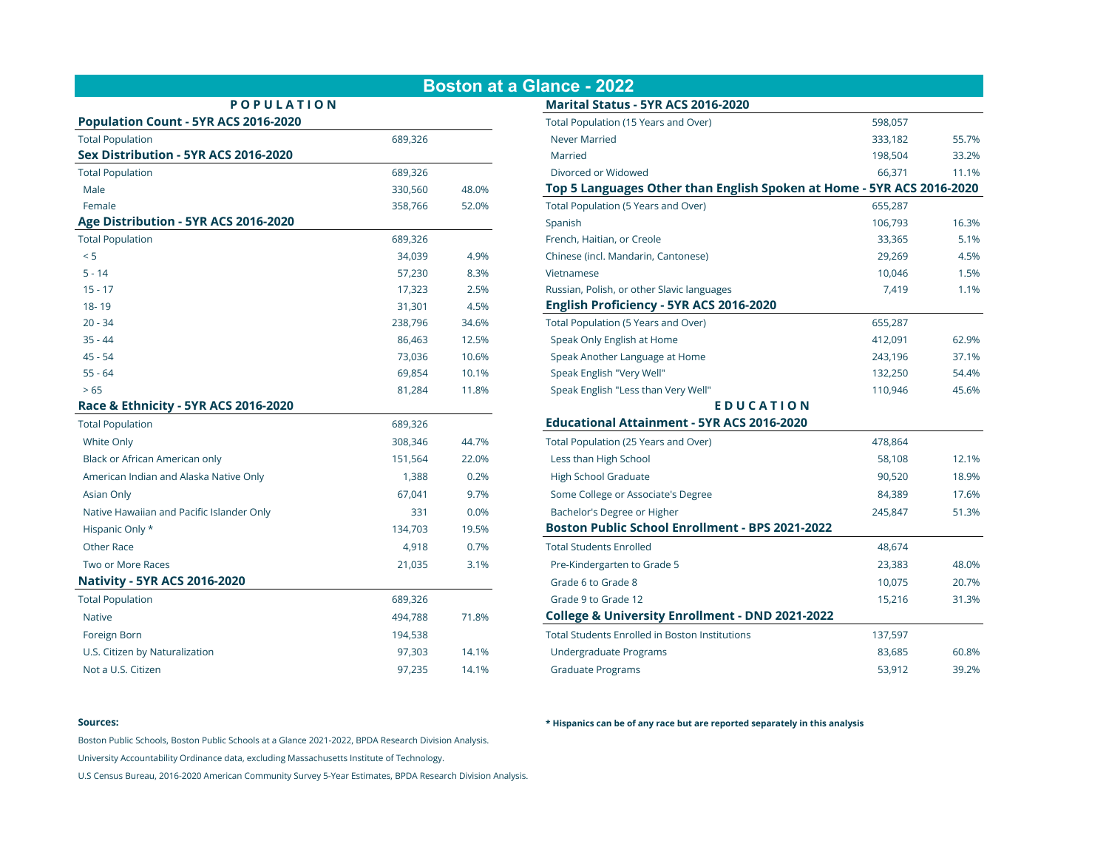|                                           |         |       | <b>Boston at a Glance - 2022</b>                                      |         |       |
|-------------------------------------------|---------|-------|-----------------------------------------------------------------------|---------|-------|
| <b>POPULATION</b>                         |         |       | Marital Status - 5YR ACS 2016-2020                                    |         |       |
| Population Count - 5YR ACS 2016-2020      |         |       | Total Population (15 Years and Over)                                  | 598,057 |       |
| <b>Total Population</b>                   | 689,326 |       | Never Married                                                         | 333,182 | 55.7% |
| Sex Distribution - 5YR ACS 2016-2020      |         |       | Married                                                               | 198,504 | 33.2% |
| <b>Total Population</b>                   | 689,326 |       | Divorced or Widowed                                                   | 66,371  | 11.1% |
| Male                                      | 330,560 | 48.0% | Top 5 Languages Other than English Spoken at Home - 5YR ACS 2016-2020 |         |       |
| Female                                    | 358,766 | 52.0% | Total Population (5 Years and Over)                                   | 655,287 |       |
| Age Distribution - 5YR ACS 2016-2020      |         |       | Spanish                                                               | 106,793 | 16.3% |
| <b>Total Population</b>                   | 689,326 |       | French, Haitian, or Creole                                            | 33,365  | 5.1%  |
| < 5                                       | 34,039  | 4.9%  | Chinese (incl. Mandarin, Cantonese)                                   | 29,269  | 4.5%  |
| $5 - 14$                                  | 57,230  | 8.3%  | Vietnamese                                                            | 10,046  | 1.5%  |
| $15 - 17$                                 | 17,323  | 2.5%  | Russian, Polish, or other Slavic languages                            | 7,419   | 1.1%  |
| 18-19                                     | 31,301  | 4.5%  | English Proficiency - 5YR ACS 2016-2020                               |         |       |
| $20 - 34$                                 | 238,796 | 34.6% | Total Population (5 Years and Over)                                   | 655,287 |       |
| $35 - 44$                                 | 86,463  | 12.5% | Speak Only English at Home                                            | 412,091 | 62.9% |
| $45 - 54$                                 | 73,036  | 10.6% | Speak Another Language at Home                                        | 243,196 | 37.1% |
| $55 - 64$                                 | 69,854  | 10.1% | Speak English "Very Well"                                             | 132,250 | 54.4% |
| > 65                                      | 81,284  | 11.8% | Speak English "Less than Very Well"                                   | 110,946 | 45.6% |
| Race & Ethnicity - 5YR ACS 2016-2020      |         |       | <b>EDUCATION</b>                                                      |         |       |
| <b>Total Population</b>                   | 689,326 |       | <b>Educational Attainment - 5YR ACS 2016-2020</b>                     |         |       |
| White Only                                | 308,346 | 44.7% | Total Population (25 Years and Over)                                  | 478,864 |       |
| Black or African American only            | 151,564 | 22.0% | Less than High School                                                 | 58,108  | 12.1% |
| American Indian and Alaska Native Only    | 1,388   | 0.2%  | <b>High School Graduate</b>                                           | 90,520  | 18.9% |
| Asian Only                                | 67,041  | 9.7%  | Some College or Associate's Degree                                    | 84,389  | 17.6% |
| Native Hawaiian and Pacific Islander Only | 331     | 0.0%  | Bachelor's Degree or Higher                                           | 245,847 | 51.3% |
| Hispanic Only *                           | 134,703 | 19.5% | <b>Boston Public School Enrollment - BPS 2021-2022</b>                |         |       |
| Other Race                                | 4,918   | 0.7%  | <b>Total Students Enrolled</b>                                        | 48,674  |       |
| Two or More Races                         | 21,035  | 3.1%  | Pre-Kindergarten to Grade 5                                           | 23,383  | 48.0% |
| <b>Nativity - 5YR ACS 2016-2020</b>       |         |       | Grade 6 to Grade 8                                                    | 10,075  | 20.7% |
| <b>Total Population</b>                   | 689,326 |       | Grade 9 to Grade 12                                                   | 15,216  | 31.3% |
| Native                                    | 494,788 | 71.8% | College & University Enrollment - DND 2021-2022                       |         |       |
| Foreign Born                              | 194,538 |       | <b>Total Students Enrolled in Boston Institutions</b>                 | 137,597 |       |
| U.S. Citizen by Naturalization            | 97,303  | 14.1% | Undergraduate Programs                                                | 83,685  | 60.8% |
| Not a U.S. Citizen                        | 97,235  | 14.1% | <b>Graduate Programs</b>                                              | 53,912  | 39.2% |

| i <b>ce - 2022</b>                                                  |         |       |
|---------------------------------------------------------------------|---------|-------|
| arital Status - 5YR ACS 2016-2020                                   |         |       |
| tal Population (15 Years and Over)                                  | 598,057 |       |
| ever Married                                                        | 333,182 | 55.7% |
| larried                                                             | 198,504 | 33.2% |
| ivorced or Widowed                                                  | 66,371  | 11.1% |
| p 5 Languages Other than English Spoken at Home - 5YR ACS 2016-2020 |         |       |
| tal Population (5 Years and Over)                                   | 655,287 |       |
| anish                                                               | 106,793 | 16.3% |
| ench, Haitian, or Creole                                            | 33,365  | 5.1%  |
| inese (incl. Mandarin, Cantonese)                                   | 29,269  | 4.5%  |
| tnamese:                                                            | 10,046  | 1.5%  |
| ssian, Polish, or other Slavic languages                            | 7,419   | 1.1%  |
| glish Proficiency - 5YR ACS 2016-2020                               |         |       |
| tal Population (5 Years and Over)                                   | 655,287 |       |
| beak Only English at Home                                           | 412,091 | 62.9% |
| beak Another Language at Home                                       | 243,196 | 37.1% |
| beak English "Very Well"                                            | 132,250 | 54.4% |
| beak English "Less than Very Well"                                  | 110,946 | 45.6% |
| EDUCATION                                                           |         |       |
| lucational Attainment - 5YR ACS 2016-2020                           |         |       |
| tal Population (25 Years and Over)                                  | 478,864 |       |
| ess than High School                                                | 58,108  | 12.1% |
| igh School Graduate                                                 | 90,520  | 18.9% |
| ome College or Associate's Degree                                   | 84,389  | 17.6% |
| achelor's Degree or Higher                                          | 245,847 | 51.3% |
| ston Public School Enrollment - BPS 2021-2022                       |         |       |
| tal Students Enrolled                                               | 48,674  |       |
| re-Kindergarten to Grade 5                                          | 23,383  | 48.0% |
| rade 6 to Grade 8                                                   | 10,075  | 20.7% |
| rade 9 to Grade 12                                                  | 15,216  | 31.3% |
| Illege & University Enrollment - DND 2021-2022                      |         |       |
| tal Students Enrolled in Boston Institutions                        | 137,597 |       |
| ndergraduate Programs                                               | 83,685  | 60.8% |
| raduate Programs                                                    | 53,912  | 39.2% |

Boston Public Schools, Boston Public Schools at a Glance 2021-2022, BPDA Research Division Analysis.

University Accountability Ordinance data, excluding Massachusetts Institute of Technology.

U.S Census Bureau, 2016-2020 American Community Survey 5-Year Estimates, BPDA Research Division Analysis.

**Sources: \* Hispanics can be of any race but are reported separately in this analysis**